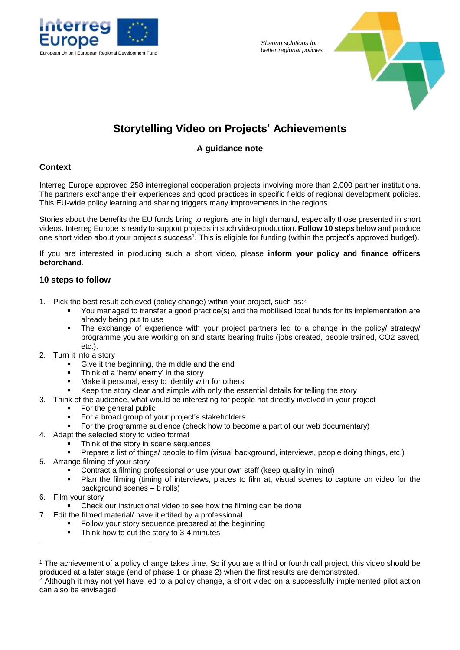

*Sharing solutions for* 



# **Storytelling Video on Projects' Achievements**

# **A guidance note**

## **Context**

Interreg Europe approved 258 interregional cooperation projects involving more than 2,000 partner institutions. The partners exchange their experiences and good practices in specific fields of regional development policies. This EU-wide policy learning and sharing triggers many improvements in the regions.

Stories about the benefits the EU funds bring to regions are in high demand, especially those presented in short videos. Interreg Europe is ready to support projects in such video production. **Follow 10 steps** below and produce one short video about your project's success<sup>1</sup> . This is eligible for funding (within the project's approved budget).

If you are interested in producing such a short video, please **inform your policy and finance officers beforehand**.

# **10 steps to follow**

- 1. Pick the best result achieved (policy change) within your project, such as: $2$ 
	- You managed to transfer a good practice(s) and the mobilised local funds for its implementation are already being put to use
	- The exchange of experience with your project partners led to a change in the policy/ strategy/ programme you are working on and starts bearing fruits (jobs created, people trained, CO2 saved, etc.).
- 2. Turn it into a story
	- Give it the beginning, the middle and the end
	- **Think of a 'hero/ enemy' in the story**
	- Make it personal, easy to identify with for others
	- Keep the story clear and simple with only the essential details for telling the story
- 3. Think of the audience, what would be interesting for people not directly involved in your project
	- For the general public
	- **For a broad group of your project's stakeholders**
	- For the programme audience (check how to become a part of our web documentary)
- 4. Adapt the selected story to video format
	- Think of the story in scene sequences
	- Prepare a list of things/ people to film (visual background, interviews, people doing things, etc.)
- 5. Arrange filming of your story
	- Contract a filming professional or use your own staff (keep quality in mind)
	- Plan the filming (timing of interviews, places to film at, visual scenes to capture on video for the background scenes – b rolls)
- 6. Film your story

-

- Check our instructional video to see how the filming can be done
- 7. Edit the filmed material/ have it edited by a professional
	- Follow your story sequence prepared at the beginning
	- Think how to cut the story to 3-4 minutes

<sup>2</sup> Although it may not yet have led to a policy change, a short video on a successfully implemented pilot action can also be envisaged.

<sup>1</sup> The achievement of a policy change takes time. So if you are a third or fourth call project, this video should be produced at a later stage (end of phase 1 or phase 2) when the first results are demonstrated.